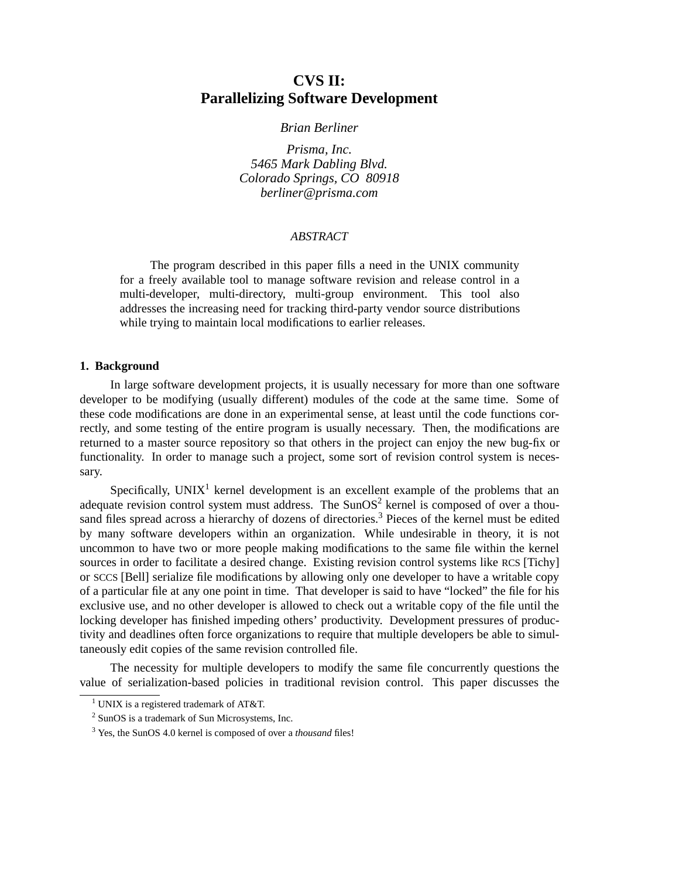# **CVS II: Parallelizing Software Development**

*Brian Berliner*

*Prisma, Inc. 5465 Mark Dabling Blvd. Colorado Springs, CO 80918 berliner@prisma.com*

#### *ABSTRACT*

The program described in this paper fills a need in the UNIX community for a freely available tool to manage software revision and release control in a multi-developer, multi-directory, multi-group environment. This tool also addresses the increasing need for tracking third-party vendor source distributions while trying to maintain local modifications to earlier releases.

#### **1. Background**

In large software development projects, it is usually necessary for more than one software developer to be modifying (usually different) modules of the code at the same time. Some of these code modifications are done in an experimental sense, at least until the code functions correctly, and some testing of the entire program is usually necessary. Then, the modifications are returned to a master source repository so that others in the project can enjoy the new bug-fix or functionality. In order to manage such a project, some sort of revision control system is necessary.

Specifically,  $UNIX<sup>1</sup>$  kernel development is an excellent example of the problems that an adequate revision control system must address. The SunOS<sup>2</sup> kernel is composed of over a thousand files spread across a hierarchy of dozens of directories.<sup>3</sup> Pieces of the kernel must be edited by many software developers within an organization. While undesirable in theory, it is not uncommon to have two or more people making modifications to the same file within the kernel sources in order to facilitate a desired change. Existing revision control systems like RCS [Tichy] or SCCS [Bell] serialize file modifications by allowing only one developer to have a writable copy of a particular file at any one point in time. That developer is said to have "locked" the file for his exclusive use, and no other developer is allowed to check out a writable copy of the file until the locking developer has finished impeding others' productivity. Development pressures of productivity and deadlines often force organizations to require that multiple developers be able to simultaneously edit copies of the same revision controlled file.

The necessity for multiple developers to modify the same file concurrently questions the value of serialization-based policies in traditional revision control. This paper discusses the

<sup>&</sup>lt;sup>1</sup> UNIX is a registered trademark of AT&T.

<sup>2</sup> SunOS is a trademark of Sun Microsystems, Inc.

<sup>3</sup> Yes, the SunOS 4.0 kernel is composed of over a *thousand* files!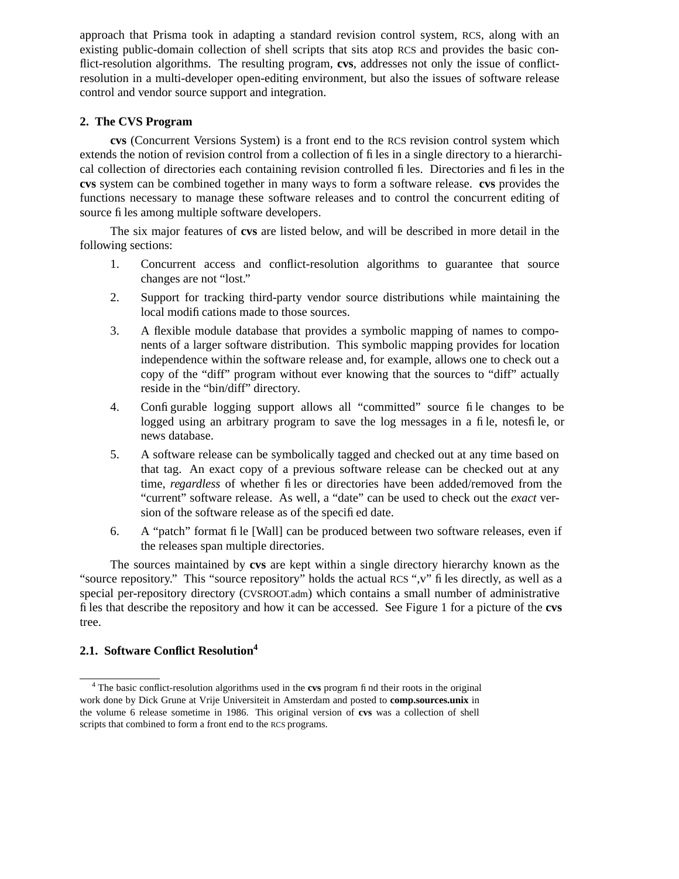approach that Prisma took in adapting a standard revision control system, RCS, along with an existing public-domain collection of shell scripts that sits atop RCS and provides the basic conflict-resolution algorithms. The resulting program, **cvs**, addresses not only the issue of conflictresolution in a multi-developer open-editing environment, but also the issues of software release control and vendor source support and integration.

## **2. The CVS Program**

**cvs** (Concurrent Versions System) is a front end to the RCS revision control system which extends the notion of revision control from a collection of files in a single directory to a hierarchical collection of directories each containing revision controlled files. Directories and files in the **cvs** system can be combined together in many ways to form a software release. **cvs** provides the functions necessary to manage these software releases and to control the concurrent editing of source files among multiple software developers.

The six major features of **cvs** are listed below, and will be described in more detail in the following sections:

- 1. Concurrent access and conflict-resolution algorithms to guarantee that source changes are not "lost."
- 2. Support for tracking third-party vendor source distributions while maintaining the local modifications made to those sources.
- 3. A flexible module database that provides a symbolic mapping of names to components of a larger software distribution. This symbolic mapping provides for location independence within the software release and, for example, allows one to check out a copy of the "diff" program without ever knowing that the sources to "diff" actually reside in the "bin/diff" directory.
- 4. Configurable logging support allows all "committed" source file changes to be logged using an arbitrary program to save the log messages in a file, notesfile, or news database.
- 5. A software release can be symbolically tagged and checked out at any time based on that tag. An exact copy of a previous software release can be checked out at any time, *regardless* of whether files or directories have been added/removed from the "current" software release. As well, a "date" can be used to check out the *exact* version of the software release as of the specified date.
- 6. A "patch" format file [Wall] can be produced between two software releases, even if the releases span multiple directories.

The sources maintained by **cvs** are kept within a single directory hierarchy known as the "source repository." This "source repository" holds the actual RCS ",v" files directly, as well as a special per-repository directory (CVSROOT.adm) which contains a small number of administrative files that describe the repository and how it can be accessed. See Figure 1 for a picture of the **cvs** tree.

## **2.1. Software Conflict Resolution<sup>4</sup>**

<sup>4</sup> The basic conflict-resolution algorithms used in the **cvs** program find their roots in the original work done by Dick Grune at Vrije Universiteit in Amsterdam and posted to **comp.sources.unix** in the volume 6 release sometime in 1986. This original version of **cvs** wasacollection of shell scripts that combined to form a front end to the RCS programs.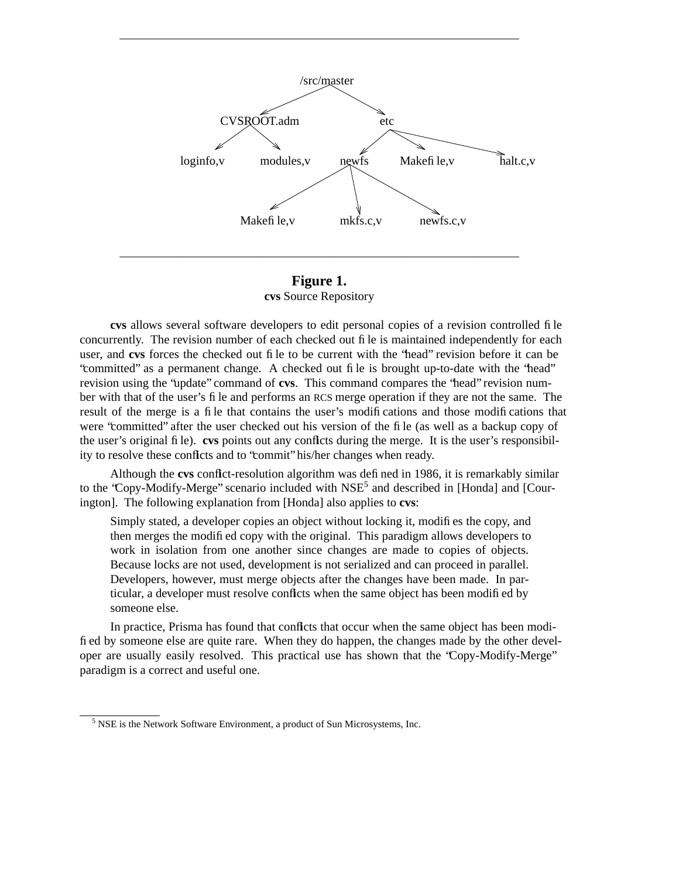

**Figure 1. cvs** Source Repository

**cvs** allows several software developers to edit personal copies of a revision controlled file concurrently. The revision number of each checked out file is maintained independently for each user, and **cvs** forces the checked out file to be current with the "head" revision before it can be "committed" as a permanent change. A checked out file is brought up-to-date with the "head" revision using the "update" command of **cvs**. This command compares the "head" revision number with that of the user's file and performs an RCS merge operation if they are not the same. The result of the merge is a file that contains the user's modifications and those modifications that were "committed" after the user checked out his version of the file (as well as a backup copy of the user's original file). **cvs** points out any conflicts during the merge. It is the user's responsibility to resolve these conflicts and to "commit" his/her changes when ready.

Although the **cvs** conflict-resolution algorithm was defined in 1986, it is remarkably similar to the 'Copy-Modify-Merge'' scenario included with NSE<sup>5</sup> and described in [Honda] and [Courington]. The following explanation from [Honda] also applies to **cvs**:

Simply stated, a developer copies an object without locking it, modifies the copy, and then merges the modified copy with the original. This paradigm allows developers to work in isolation from one another since changes are made to copies of objects. Because locks are not used, development is not serialized and can proceed in parallel. Developers, however, must merge objects after the changes have been made. In particular, a developer must resolve conflicts when the same object has been modified by someone else.

In practice, Prisma has found that conflicts that occur when the same object has been modified by someone else are quite rare. When they do happen, the changes made by the other developer are usually easily resolved. This practical use has shown that the "Copy-Modify-Merge" paradigm is a correct and useful one.

<sup>&</sup>lt;sup>5</sup> NSE is the Network Software Environment, a product of Sun Microsystems, Inc.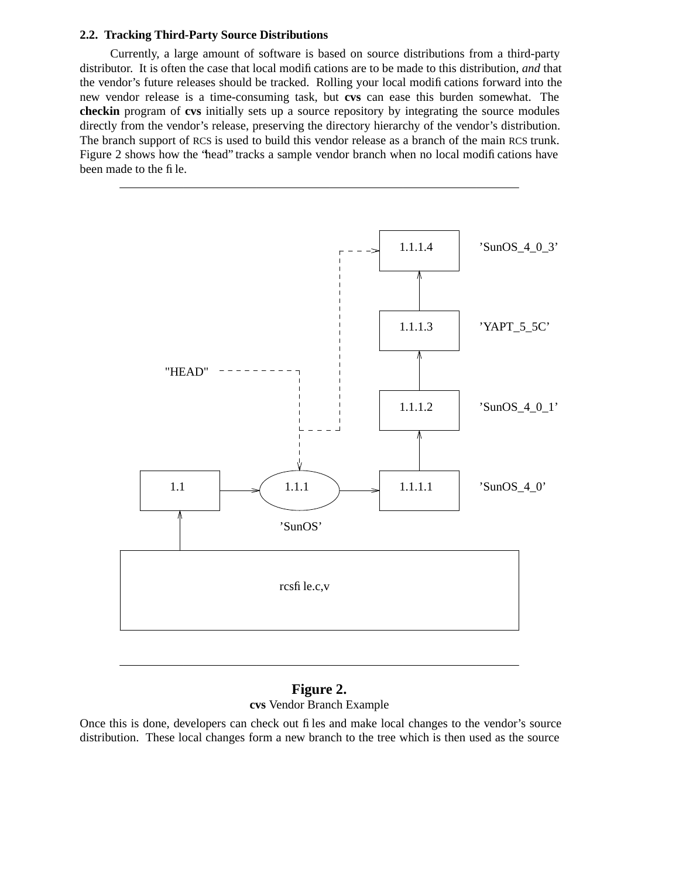#### **2.2. Tracking Third-Party Source Distributions**

Currently, a large amount of software is based on source distributions from a third-party distributor. It is often the case that local modifications are to be made to this distribution, *and* that the vendor's future releases should be tracked. Rolling your local modifications forward into the new vendor release is a time-consuming task, but **cvs** can ease this burden somewhat. The **checkin** program of **cvs** initially sets up a source repository by integrating the source modules directly from the vendor's release, preserving the directory hierarchy of the vendor's distribution. The branch support of RCS is used to build this vendor release as a branch of the main RCS trunk. Figure 2 shows how the "head" tracks a sample vendor branch when no local modifications have been made to the file.



## **Figure 2. cvs** Vendor Branch Example

Once this is done, developers can check out files and make local changes to the vendor's source distribution. These local changes form a new branch to the tree which is then used as the source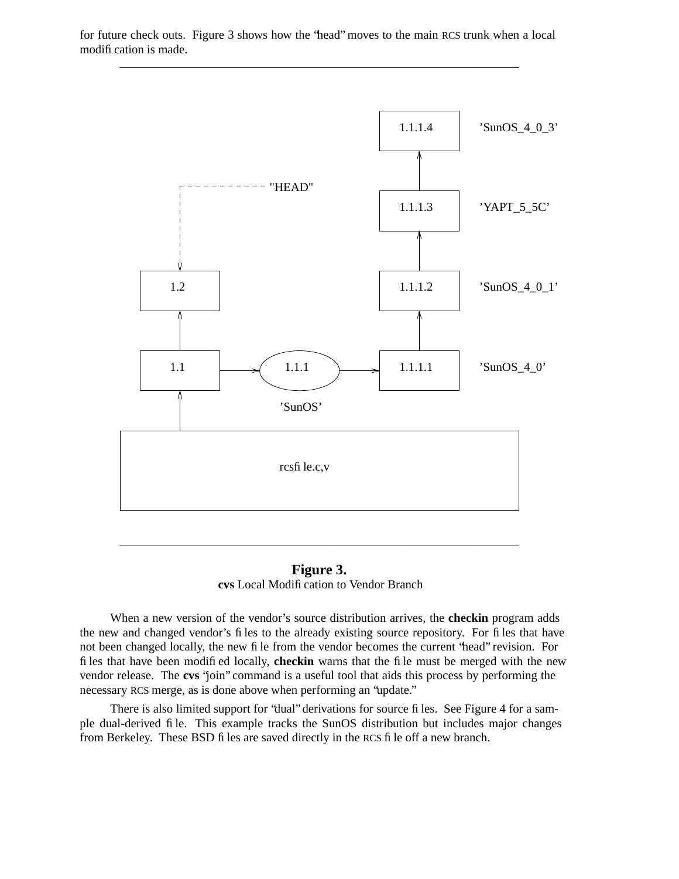

for future check outs. Figure 3 shows how the "head" moves to the main RCS trunk when a local modification is made.

**Figure 3. cvs** Local Modification to Vendor Branch

When a new version of the vendor's source distribution arrives, the **checkin** program adds the new and changed vendor's files to the already existing source repository. For files that have not been changed locally, the new file from the vendor becomes the current "head" revision. For files that have been modified locally, **checkin** warns that the file must be merged with the new vendor release. The **cvs** "join" command is a useful tool that aids this process by performing the necessary RCS merge, as is done above when performing an "update."

There is also limited support for "dual" derivations for source files. See Figure 4 for a sample dual-derived file. This example tracks the SunOS distribution but includes major changes from Berkeley. These BSD files are saved directly in the RCS file off a new branch.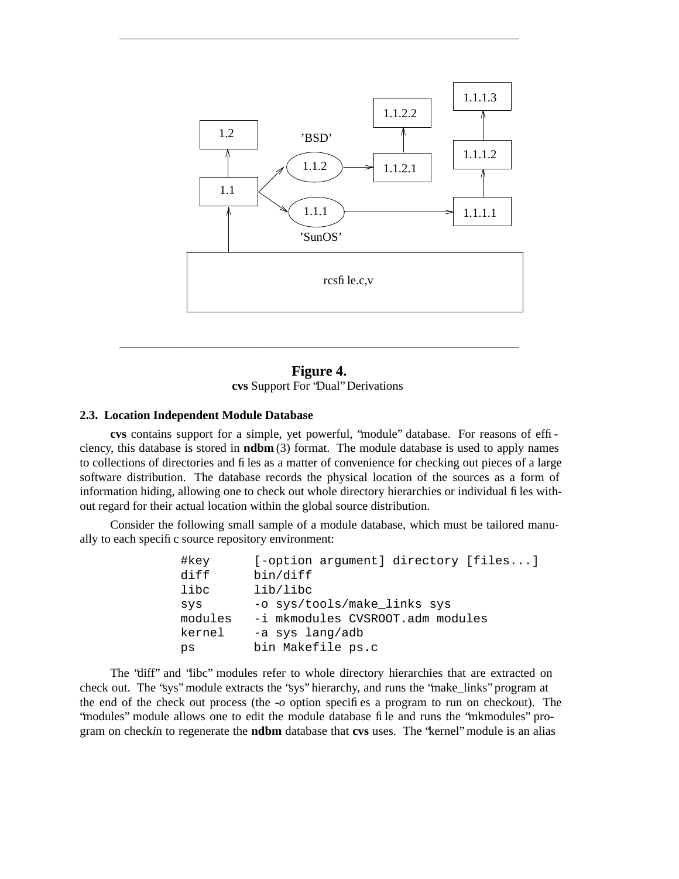

## **Figure 4. cvs** Support For "Dual" Derivations

### **2.3. Location Independent Module Database**

**cvs** contains support for a simple, yet powerful, "module" database. For reasons of efficiency, this database is stored in **ndbm** (3) format. The module database is used to apply names to collections of directories and files as a matter of convenience for checking out pieces of a large software distribution. The database records the physical location of the sources as a form of information hiding, allowing one to check out whole directory hierarchies or individual files without regard for their actual location within the global source distribution.

Consider the following small sample of a module database, which must be tailored manually to each specific source repository environment:

| #key    | [-option argument] directory [files] |
|---------|--------------------------------------|
| diff    | bin/diff                             |
| libc    | lib/libc                             |
| SVS     | -o sys/tools/make_links sys          |
| modules | -i mkmodules CVSROOT.adm modules     |
| kernel  | -a sys lang/adb                      |
| ps      | bin Makefile ps.c                    |

The "diff" and "libc" modules refer to whole directory hierarchies that are extracted on check out. The "sys" module extracts the "sys" hierarchy, and runs the "make\_links" program at the end of the check out process (the *-o* option specifies a program to run on check*o*ut). The "modules" module allows one to edit the module database file and runs the "mkmodules" program on check*i*n to regenerate the **ndbm** database that **cvs** uses. The "kernel" module is an alias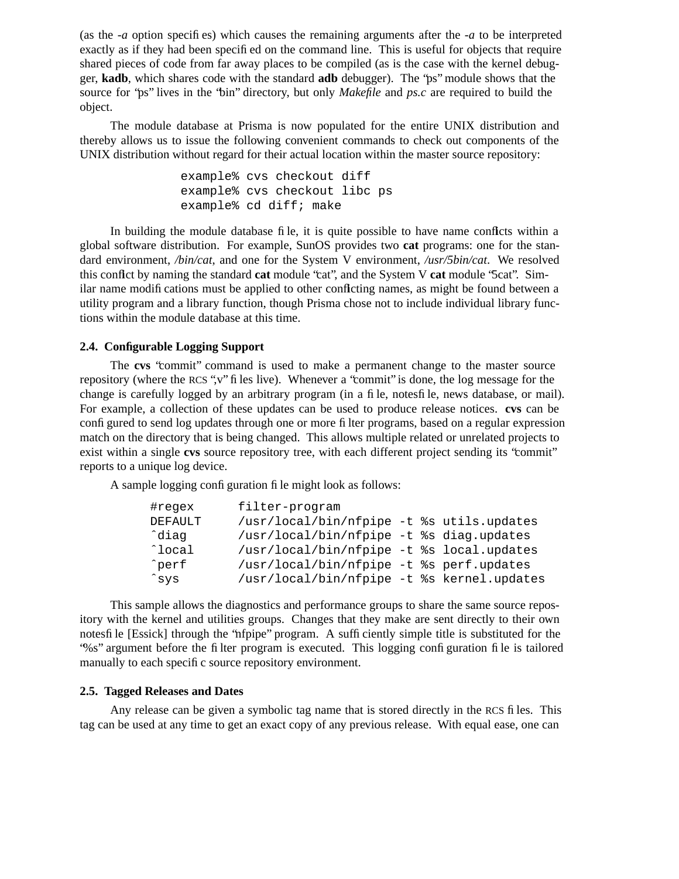(as the *-a* option specifies) which causes the remaining arguments after the *-a* to be interpreted exactly as if they had been specified on the command line. This is useful for objects that require shared pieces of code from far away places to be compiled (as is the case with the kernel debugger, **kadb**, which shares code with the standard **adb** debugger). The "ps" module shows that the source for "ps" lives in the "bin" directory, but only *Makefile* and *ps.c* are required to build the object.

The module database at Prisma is now populated for the entire UNIX distribution and thereby allows us to issue the following convenient commands to check out components of the UNIX distribution without regard for their actual location within the master source repository:

> example% cvs checkout diff example% cvs checkout libc ps example% cd diff; make

In building the module database file, it is quite possible to have name conflcts within a global software distribution. For example, SunOS provides two **cat** programs: one for the standard environment, */bin/cat*, and one for the System V environment, */usr/5bin/cat*. We resolved this conflict by naming the standard **cat** module "cat", and the System V **cat** module "5cat". Similar name modifications must be applied to other conflicting names, as might be found between a utility program and a library function, though Prisma chose not to include individual library functions within the module database at this time.

#### **2.4. Configurable Logging Support**

The **cvs** "commit" command is used to make a permanent change to the master source repository (where the RCS ", $v$ " files live). Whenever a "commit" is done, the log message for the change is carefully logged by an arbitrary program (in a file, notesfile, news database, or mail). For example, a collection of these updates can be used to produce release notices. **cvs** can be configured to send log updates through one or more filter programs, based on a regular expression match on the directory that is being changed. This allows multiple related or unrelated projects to exist within a single **cvs** source repository tree, with each different project sending its "commit" reports to a unique log device.

A sample logging configuration file might look as follows:

| #regex         | filter-program                             |  |
|----------------|--------------------------------------------|--|
| <b>DEFAULT</b> | /usr/local/bin/nfpipe -t %s utils.updates  |  |
| ^diaq          | /usr/local/bin/nfpipe -t %s diag.updates   |  |
| ^local         | /usr/local/bin/nfpipe -t %s local.updates  |  |
| ^perf          | /usr/local/bin/nfpipe -t %s perf.updates   |  |
| ^sys           | /usr/local/bin/nfpipe -t %s kernel.updates |  |

This sample allows the diagnostics and performance groups to share the same source repository with the kernel and utilities groups. Changes that they make are sent directly to their own notesfile [Essick] through the "nfpipe" program. A sufficiently simple title is substituted for the "%s" argument before the filter program is executed. This logging configuration file is tailored manually to each specific source repository environment.

#### **2.5. Tagged Releases and Dates**

Any release can be given a symbolic tag name that is stored directly in the RCS files. This tag can be used at any time to get an exact copy of any previous release. With equal ease, one can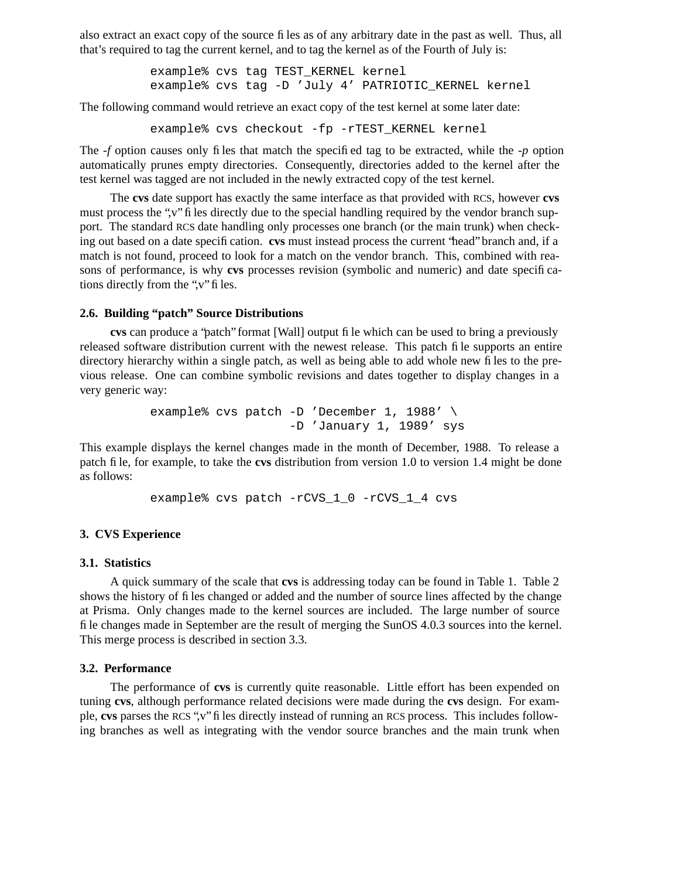also extract an exact copy of the source files as of any arbitrary date in the past as well. Thus, all that's required to tag the current kernel, and to tag the kernel as of the Fourth of July is:

> example% cvs tag TEST\_KERNEL kernel example% cvs tag -D 'July 4' PATRIOTIC\_KERNEL kernel

The following command would retrieve an exact copy of the test kernel at some later date:

example% cvs checkout -fp -rTEST\_KERNEL kernel

The *-f* option causes only files that match the specified tag to be extracted, while the *-p* option automatically prunes empty directories. Consequently, directories added to the kernel after the test kernel was tagged are not included in the newly extracted copy of the test kernel.

The cvs date support has exactly the same interface as that provided with RCS, however cvs must process the ",v" files directly due to the special handling required by the vendor branch support. The standard RCS date handling only processes one branch (or the main trunk) when checking out based on a date specification. **cvs** must instead process the current "head" branch and, if a match is not found, proceed to look for a match on the vendor branch. This, combined with reasons of performance, is why **cvs** processes revision (symbolic and numeric) and date specifications directly from the ",v" files.

#### **2.6. Building "patch" Source Distributions**

**cvs** can produce a "patch" format [Wall] output file which can be used to bring a previously released software distribution current with the newest release. This patch file supports an entire directory hierarchy within a single patch, as well as being able to add whole new files to the previous release. One can combine symbolic revisions and dates together to display changes in a very generic way:

> example% cvs patch -D 'December 1, 1988' \ -D 'January 1, 1989' sys

This example displays the kernel changes made in the month of December, 1988. To release a patch file, for example, to take the **cvs** distribution from version 1.0 to version 1.4 might be done as follows:

example% cvs patch -rCVS\_1\_0 -rCVS\_1\_4 cvs

#### **3. CVS Experience**

#### **3.1. Statistics**

A quick summary of the scale that **cvs** is addressing today can be found in Table 1. Table 2 shows the history of files changed or added and the number of source lines affected by the change at Prisma. Only changes made to the kernel sources are included. The large number of source file changes made in September are the result of merging the SunOS 4.0.3 sources into the kernel. This merge process is described in section 3.3.

#### **3.2. Performance**

The performance of **cvs** is currently quite reasonable. Little effort has been expended on tuning **cvs**, although performance related decisions were made during the **cvs** design. For example, **cvs** parses the RCS ",v" files directly instead of running an RCS process. This includes following branches as well as integrating with the vendor source branches and the main trunk when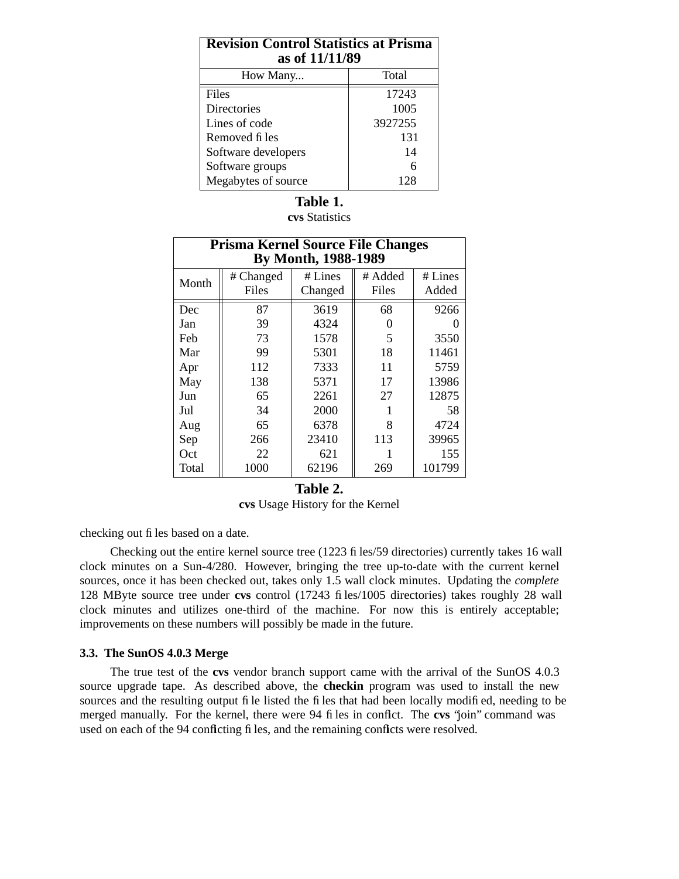| <b>Revision Control Statistics at Prisma</b><br>as of 11/11/89 |         |  |  |
|----------------------------------------------------------------|---------|--|--|
| How Many                                                       | Total   |  |  |
| Files                                                          | 17243   |  |  |
| Directories                                                    | 1005    |  |  |
| Lines of code                                                  | 3927255 |  |  |
| Removed files                                                  | 131     |  |  |
| Software developers                                            | 14      |  |  |
| Software groups                                                | 6       |  |  |
| Megabytes of source                                            | 128     |  |  |

# **Table 1.**

**cvs** Statistics

| <b>Prisma Kernel Source File Changes</b><br><b>By Month, 1988-1989</b> |           |         |         |         |  |
|------------------------------------------------------------------------|-----------|---------|---------|---------|--|
| Month                                                                  | # Changed | # Lines | # Added | # Lines |  |
|                                                                        | Files     | Changed | Files   | Added   |  |
| Dec                                                                    | 87        | 3619    | 68      | 9266    |  |
| Jan                                                                    | 39        | 4324    |         |         |  |
| Feb                                                                    | 73        | 1578    | 5       | 3550    |  |
| Mar                                                                    | 99        | 5301    | 18      | 11461   |  |
| Apr                                                                    | 112       | 7333    | 11      | 5759    |  |
| May                                                                    | 138       | 5371    | 17      | 13986   |  |
| Jun                                                                    | 65        | 2261    | 27      | 12875   |  |
| Jul                                                                    | 34        | 2000    |         | 58      |  |
| Aug                                                                    | 65        | 6378    | 8       | 4724    |  |
| Sep                                                                    | 266       | 23410   | 113     | 39965   |  |
| Oct                                                                    | 22        | 621     |         | 155     |  |
| Total                                                                  | 1000      | 62196   | 269     | 101799  |  |

## **Table 2.**

**cvs** Usage History for the Kernel

checking out files based on a date.

Checking out the entire kernel source tree (1223 files/59 directories) currently takes 16 wall clock minutes on a Sun-4/280. However, bringing the tree up-to-date with the current kernel sources, once it has been checked out, takes only 1.5 wall clock minutes. Updating the *complete* 128 MByte source tree under **cvs** control (17243 files/1005 directories) takes roughly 28 wall clock minutes and utilizes one-third of the machine. For now this is entirely acceptable; improvements on these numbers will possibly be made in the future.

### **3.3. The SunOS 4.0.3 Merge**

The true test of the **cvs** vendor branch support came with the arrival of the SunOS 4.0.3 source upgrade tape. As described above, the **checkin** program was used to install the new sources and the resulting output file listed the files that had been locally modified, needing to be merged manually. For the kernel, there were 94 files in conflict. The **cvs** 'join'' command was used on each of the 94 conflicting files, and the remaining conflicts were resolved.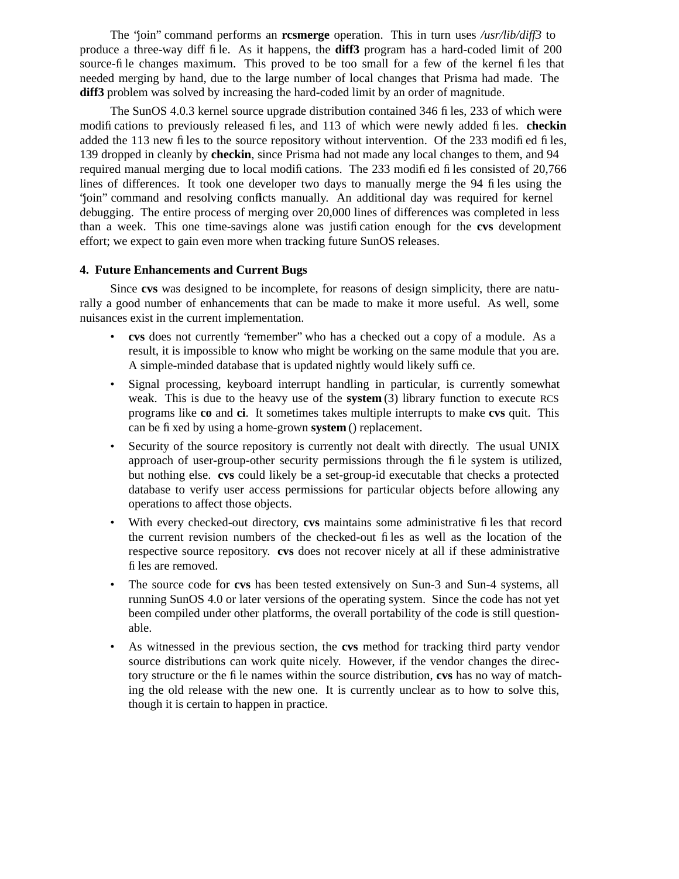The "join" command performs an **rcsmerge** operation. This in turn uses */usr/lib/diff3* to produce a three-way diff file. As it happens, the **diff3** program has a hard-coded limit of 200 source-file changes maximum. This proved to be too small for a few of the kernel files that needed merging by hand, due to the large number of local changes that Prisma had made. The **diff3** problem was solved by increasing the hard-coded limit by an order of magnitude.

The SunOS 4.0.3 kernel source upgrade distribution contained 346 files, 233 of which were modifications to previously released files, and 113 of which were newly added files. **checkin** added the 113 new files to the source repository without intervention. Of the 233 modified files, 139 dropped in cleanly by **checkin**, since Prisma had not made any local changes to them, and 94 required manual merging due to local modifications. The 233 modified files consisted of 20,766 lines of differences. It took one developer two days to manually merge the 94 files using the "join" command and resolving conflicts manually. An additional day was required for kernel debugging. The entire process of merging over 20,000 lines of differences was completed in less than a week. This one time-savings alone was justification enough for the **cvs** development effort; we expect to gain even more when tracking future SunOS releases.

## **4. Future Enhancements and Current Bugs**

Since **cvs** was designed to be incomplete, for reasons of design simplicity, there are naturally a good number of enhancements that can be made to make it more useful. As well, some nuisances exist in the current implementation.

- **cvs** does not currently "remember" who has a checked out a copy of a module. As a result, it is impossible to know who might be working on the same module that you are. A simple-minded database that is updated nightly would likely suffice.
- Signal processing, keyboard interrupt handling in particular, is currently somewhat weak. This is due to the heavy use of the **system** (3) library function to execute RCS programs like **co** and **ci**. It sometimes takes multiple interrupts to make **cvs** quit. This can be fixed by using a home-grown **system** () replacement.
- Security of the source repository is currently not dealt with directly. The usual UNIX approach of user-group-other security permissions through the file system is utilized, but nothing else. **cvs** could likely be a set-group-id executable that checks a protected database to verify user access permissions for particular objects before allowing any operations to affect those objects.
- With every checked-out directory, **cvs** maintains some administrative files that record the current revision numbers of the checked-out files as well as the location of the respective source repository. **cvs** does not recover nicely at all if these administrative files are removed.
- The source code for **cvs** has been tested extensively on Sun-3 and Sun-4 systems, all running SunOS 4.0 or later versions of the operating system. Since the code has not yet been compiled under other platforms, the overall portability of the code is still questionable.
- As witnessed in the previous section, the **cvs** method for tracking third party vendor source distributions can work quite nicely. However, if the vendor changes the directory structure or the file names within the source distribution, **cvs** has no way of matching the old release with the new one. It is currently unclear as to how to solve this, though it is certain to happen in practice.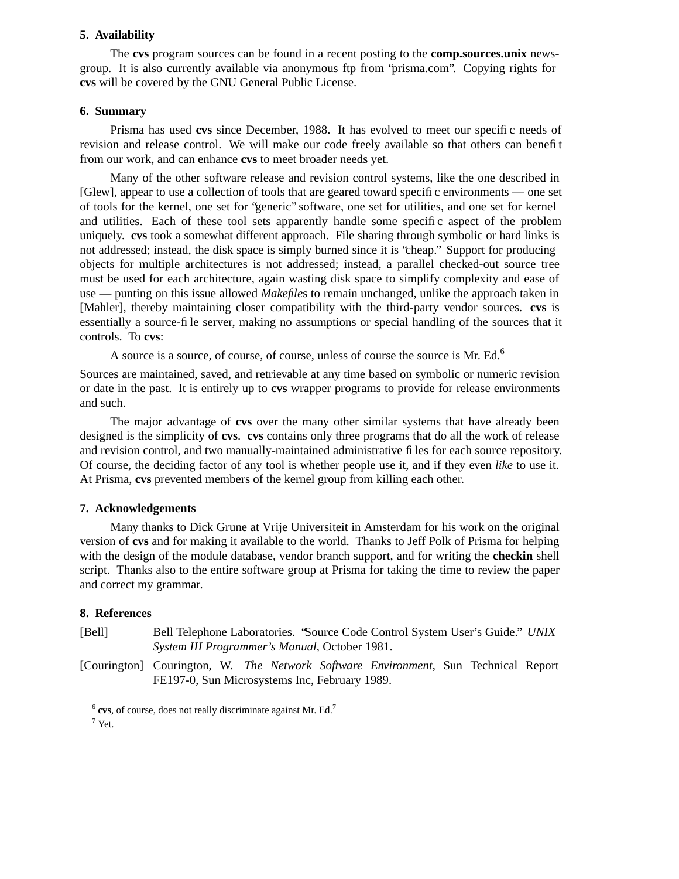#### **5. Availability**

The **cvs** program sources can be found in a recent posting to the **comp.sources.unix** newsgroup. It is also currently available via anonymous ftp from "prisma.com". Copying rights for **cvs** will be covered by the GNU General Public License.

#### **6. Summary**

Prisma has used **cvs** since December, 1988. It has evolved to meet our specific needs of revision and release control. We will make our code freely available so that others can benefit from our work, and can enhance **cvs** to meet broader needs yet.

Many of the other software release and revision control systems, like the one described in [Glew], appear to use a collection of tools that are geared toward specific environments — one set of tools for the kernel, one set for "generic" software, one set for utilities, and one set for kernel and utilities. Each of these tool sets apparently handle some specific aspect of the problem uniquely. **cvs** took a somewhat different approach. File sharing through symbolic or hard links is not addressed; instead, the disk space is simply burned since it is "cheap." Support for producing objects for multiple architectures is not addressed; instead, a parallel checked-out source tree must be used for each architecture, again wasting disk space to simplify complexity and ease of use — punting on this issue allowed *Makefile*s to remain unchanged, unlike the approach taken in [Mahler], thereby maintaining closer compatibility with the third-party vendor sources. **cvs** is essentially a source-file server, making no assumptions or special handling of the sources that it controls. To **cvs**:

A source is a source, of course, of course, unless of course the source is Mr. Ed.<sup>6</sup>

Sources are maintained, saved, and retrievable at any time based on symbolic or numeric revision or date in the past. It is entirely up to **cvs** wrapper programs to provide for release environments and such.

The major advantage of **cvs** over the many other similar systems that have already been designed is the simplicity of **cvs**. **cvs** contains only three programs that do all the work of release and revision control, and two manually-maintained administrative files for each source repository. Of course, the deciding factor of any tool is whether people use it, and if they even *like* to use it. At Prisma, **cvs** prevented members of the kernel group from killing each other.

### **7. Acknowledgements**

Many thanks to Dick Grune at Vrije Universiteit in Amsterdam for his work on the original version of **cvs** and for making it available to the world. Thanks to Jeff Polk of Prisma for helping with the design of the module database, vendor branch support, and for writing the **checkin** shell script. Thanks also to the entire software group at Prisma for taking the time to review the paper and correct my grammar.

### **8. References**

[Bell] Bell Telephone Laboratories. "Source Code Control System User's Guide." *UNIX System III Programmer's Manual*, October 1981.

[Courington] Courington, W. *The Network Software Environment*, Sun Technical Report FE197-0, Sun Microsystems Inc, February 1989.

<sup>&</sup>lt;sup>6</sup> cvs, of course, does not really discriminate against Mr. Ed.<sup>7</sup>

 $7$  Yet.